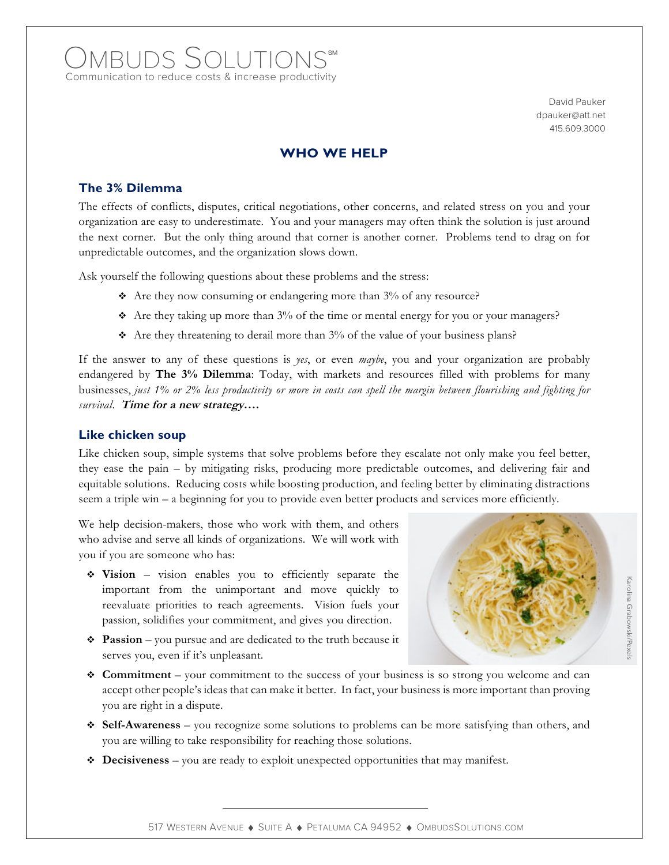# OMBUDS SOLUTIONS Communication to reduce costs & increase productivity

David Pauker dpauker@att.net 415.609.3000

## **WHO WE HELP**

### **The 3% Dilemma**

The effects of conflicts, disputes, critical negotiations, other concerns, and related stress on you and your organization are easy to underestimate. You and your managers may often think the solution is just around the next corner. But the only thing around that corner is another corner. Problems tend to drag on for unpredictable outcomes, and the organization slows down.

Ask yourself the following questions about these problems and the stress:

- $\triangle$  Are they now consuming or endangering more than 3% of any resource?
- $\triangle$  Are they taking up more than 3% of the time or mental energy for you or your managers?
- $\triangle$  Are they threatening to derail more than 3% of the value of your business plans?

If the answer to any of these questions is *yes*, or even *maybe*, you and your organization are probably endangered by **The 3% Dilemma**: Today, with markets and resources filled with problems for many businesses, *just 1% or 2% less productivity or more in costs can spell the margin between flourishing and fighting for survival*. **Time for a new strategy….**

#### **Like chicken soup**

Like chicken soup, simple systems that solve problems before they escalate not only make you feel better, they ease the pain – by mitigating risks, producing more predictable outcomes, and delivering fair and equitable solutions. Reducing costs while boosting production, and feeling better by eliminating distractions seem a triple win – a beginning for you to provide even better products and services more efficiently.

We help decision-makers, those who work with them, and others who advise and serve all kinds of organizations. We will work with you if you are someone who has:

- **Vision** vision enables you to efficiently separate the important from the unimportant and move quickly to reevaluate priorities to reach agreements. Vision fuels your passion, solidifies your commitment, and gives you direction.
- **Passion** you pursue and are dedicated to the truth because it serves you, even if it's unpleasant.



Karolina Grabowski/Pexels Grabowski/Pexels

- **Commitment** your commitment to the success of your business is so strong you welcome and can accept other people's ideas that can make it better. In fact, your business is more important than proving you are right in a dispute.
- **Self-Awareness** you recognize some solutions to problems can be more satisfying than others, and you are willing to take responsibility for reaching those solutions.
- **Decisiveness** you are ready to exploit unexpected opportunities that may manifest.